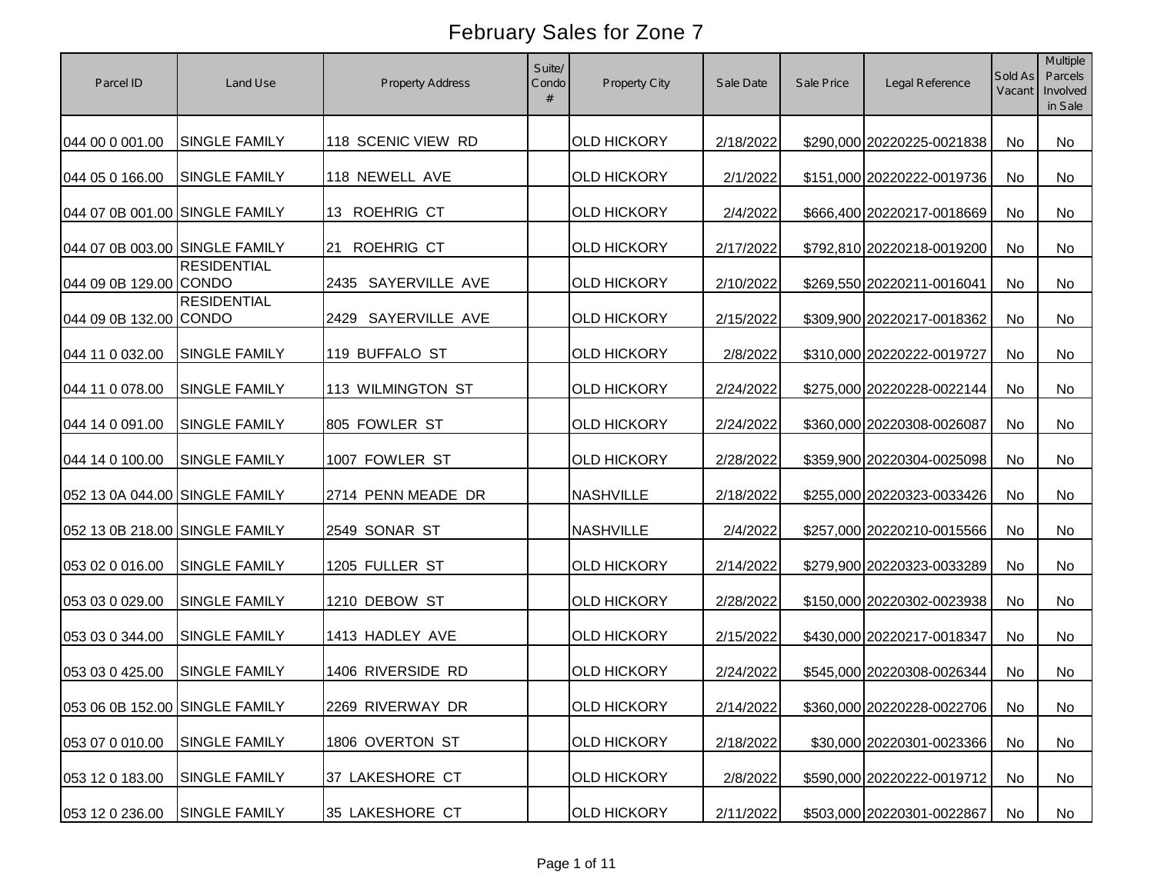| Parcel ID                      | Land Use                           | <b>Property Address</b> | Suite/<br>Condo | Property City      | Sale Date | Sale Price | Legal Reference            | Sold As<br>Vacant | <b>Multiple</b><br>Parcels<br>Involved<br>in Sale |
|--------------------------------|------------------------------------|-------------------------|-----------------|--------------------|-----------|------------|----------------------------|-------------------|---------------------------------------------------|
| 044 00 0 001.00                | <b>SINGLE FAMILY</b>               | 118 SCENIC VIEW RD      |                 | <b>OLD HICKORY</b> | 2/18/2022 |            | \$290,000 20220225-0021838 | <b>No</b>         | No                                                |
| 044 05 0 166.00                | <b>SINGLE FAMILY</b>               | 118 NEWELL AVE          |                 | <b>OLD HICKORY</b> | 2/1/2022  |            | \$151,000 20220222-0019736 | <b>No</b>         | No                                                |
| 044 07 0B 001.00 SINGLE FAMILY |                                    | 13 ROEHRIG CT           |                 | <b>OLD HICKORY</b> | 2/4/2022  |            | \$666,400 20220217-0018669 | <b>No</b>         | No                                                |
| 044 07 0B 003.00 SINGLE FAMILY |                                    | <b>ROEHRIG CT</b><br>21 |                 | <b>OLD HICKORY</b> | 2/17/2022 |            | \$792,810 20220218-0019200 | <b>No</b>         | No                                                |
| 044 09 0B 129.00 CONDO         | <b>RESIDENTIAL</b>                 | SAYERVILLE AVE<br>2435  |                 | <b>OLD HICKORY</b> | 2/10/2022 |            | \$269,550 20220211-0016041 | No                | No                                                |
| 044 09 0B 132.00               | <b>RESIDENTIAL</b><br><b>CONDO</b> | SAYERVILLE AVE<br>2429  |                 | <b>OLD HICKORY</b> | 2/15/2022 |            | \$309,900 20220217-0018362 | <b>No</b>         | No                                                |
| 044 11 0 032.00                | <b>SINGLE FAMILY</b>               | 119 BUFFALO ST          |                 | <b>OLD HICKORY</b> | 2/8/2022  |            | \$310,000 20220222-0019727 | No                | No                                                |
| 044 11 0 078.00                | <b>SINGLE FAMILY</b>               | 113 WILMINGTON ST       |                 | <b>OLD HICKORY</b> | 2/24/2022 |            | \$275,000 20220228-0022144 | No                | <b>No</b>                                         |
| 044 14 0 091.00                | <b>SINGLE FAMILY</b>               | 805 FOWLER ST           |                 | <b>OLD HICKORY</b> | 2/24/2022 |            | \$360,000 20220308-0026087 | No                | No                                                |
| 044 14 0 100.00                | <b>SINGLE FAMILY</b>               | 1007 FOWLER ST          |                 | <b>OLD HICKORY</b> | 2/28/2022 |            | \$359,900 20220304-0025098 | No                | No                                                |
| 052 13 0A 044.00 SINGLE FAMILY |                                    | 2714 PENN MEADE DR      |                 | <b>NASHVILLE</b>   | 2/18/2022 |            | \$255,000 20220323-0033426 | No                | <b>No</b>                                         |
| 052 13 0B 218.00 SINGLE FAMILY |                                    | 2549 SONAR ST           |                 | <b>NASHVILLE</b>   | 2/4/2022  |            | \$257,000 20220210-0015566 | No                | No                                                |
| 053 02 0 016.00                | <b>SINGLE FAMILY</b>               | 1205 FULLER ST          |                 | <b>OLD HICKORY</b> | 2/14/2022 |            | \$279,900 20220323-0033289 | No                | No                                                |
| 053 03 0 029.00                | <b>SINGLE FAMILY</b>               | 1210 DEBOW ST           |                 | <b>OLD HICKORY</b> | 2/28/2022 |            | \$150,000 20220302-0023938 | No                | <b>No</b>                                         |
| 053 03 0 344.00                | <b>SINGLE FAMILY</b>               | 1413 HADLEY AVE         |                 | <b>OLD HICKORY</b> | 2/15/2022 |            | \$430,000 20220217-0018347 | No                | No                                                |
| 053 03 0 425.00                | <b>SINGLE FAMILY</b>               | 1406 RIVERSIDE RD       |                 | <b>OLD HICKORY</b> | 2/24/2022 |            | \$545,000 20220308-0026344 | No                | No                                                |
| 053 06 0B 152.00 SINGLE FAMILY |                                    | 2269 RIVERWAY DR        |                 | <b>OLD HICKORY</b> | 2/14/2022 |            | \$360,000 20220228-0022706 | No                | No                                                |
| 053 07 0 010.00                | SINGLE FAMILY                      | 1806 OVERTON ST         |                 | <b>OLD HICKORY</b> | 2/18/2022 |            | \$30,000 20220301-0023366  | No                | No                                                |
| 053 12 0 183.00                | <b>SINGLE FAMILY</b>               | 37 LAKESHORE CT         |                 | <b>OLD HICKORY</b> | 2/8/2022  |            | \$590,000 20220222-0019712 | No                | No                                                |
| 053 12 0 236.00                | SINGLE FAMILY                      | 35 LAKESHORE CT         |                 | <b>OLD HICKORY</b> | 2/11/2022 |            | \$503,000 20220301-0022867 | No                | No                                                |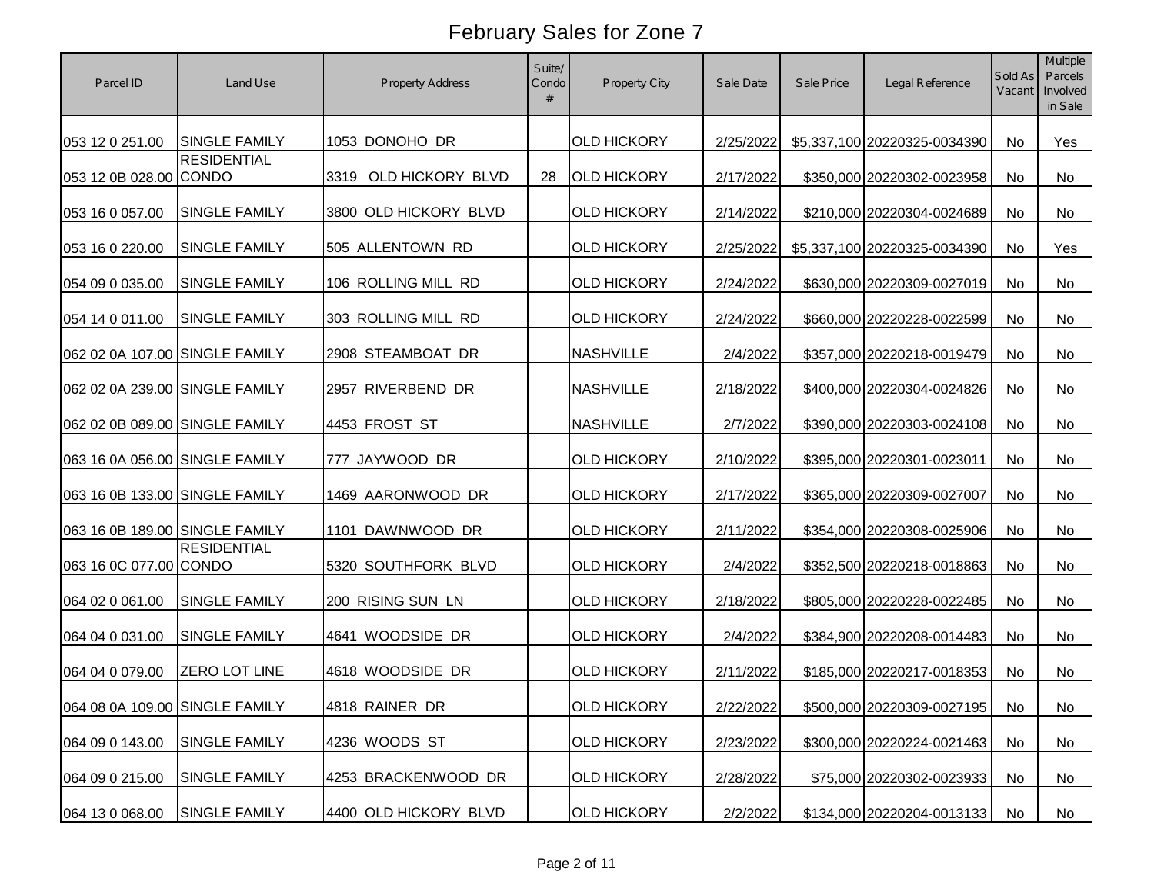| Parcel ID                      | Land Use             | <b>Property Address</b>  | Suite/<br>Condo | Property City      | Sale Date | Sale Price | Legal Reference              | Sold As<br>Vacant | Multiple<br>Parcels<br>Involved<br>in Sale |
|--------------------------------|----------------------|--------------------------|-----------------|--------------------|-----------|------------|------------------------------|-------------------|--------------------------------------------|
| 053 12 0 251.00                | <b>SINGLE FAMILY</b> | 1053 DONOHO DR           |                 | <b>OLD HICKORY</b> | 2/25/2022 |            | \$5,337,100 20220325-0034390 | No                | Yes                                        |
| 053 12 0B 028.00 CONDO         | <b>RESIDENTIAL</b>   | OLD HICKORY BLVD<br>3319 | 28              | <b>OLD HICKORY</b> | 2/17/2022 |            | \$350,000 20220302-0023958   | No                | No                                         |
| 053 16 0 057.00                | <b>SINGLE FAMILY</b> | 3800 OLD HICKORY BLVD    |                 | <b>OLD HICKORY</b> | 2/14/2022 |            | \$210,000 20220304-0024689   | <b>No</b>         | No                                         |
| 053 16 0 220.00                | <b>SINGLE FAMILY</b> | 505 ALLENTOWN RD         |                 | <b>OLD HICKORY</b> | 2/25/2022 |            | \$5,337,100 20220325-0034390 | <b>No</b>         | Yes                                        |
| 054 09 0 035.00                | <b>SINGLE FAMILY</b> | 106 ROLLING MILL RD      |                 | <b>OLD HICKORY</b> | 2/24/2022 |            | \$630,000 20220309-0027019   | <b>No</b>         | No                                         |
| 054 14 0 011.00                | <b>SINGLE FAMILY</b> | 303 ROLLING MILL RD      |                 | <b>OLD HICKORY</b> | 2/24/2022 |            | \$660,000 20220228-0022599   | <b>No</b>         | No                                         |
| 062 02 0A 107.00 SINGLE FAMILY |                      | 2908 STEAMBOAT DR        |                 | <b>NASHVILLE</b>   | 2/4/2022  |            | \$357,000 20220218-0019479   | No                | No                                         |
| 062 02 0A 239.00 SINGLE FAMILY |                      | 2957 RIVERBEND DR        |                 | <b>NASHVILLE</b>   | 2/18/2022 |            | \$400,000 20220304-0024826   | No                | No                                         |
| 062 02 0B 089.00 SINGLE FAMILY |                      | 4453 FROST ST            |                 | <b>NASHVILLE</b>   | 2/7/2022  |            | \$390,000 20220303-0024108   | No                | No                                         |
| 063 16 0A 056.00 SINGLE FAMILY |                      | 777 JAYWOOD DR           |                 | <b>OLD HICKORY</b> | 2/10/2022 |            | \$395,000 20220301-0023011   | No                | No                                         |
| 063 16 0B 133.00 SINGLE FAMILY |                      | 1469 AARONWOOD DR        |                 | <b>OLD HICKORY</b> | 2/17/2022 |            | \$365,000 20220309-0027007   | No                | No                                         |
| 063 16 0B 189.00 SINGLE FAMILY |                      | 1101 DAWNWOOD DR         |                 | <b>OLD HICKORY</b> | 2/11/2022 |            | \$354,000 20220308-0025906   | No                | <b>No</b>                                  |
| 063 16 0C 077.00 CONDO         | <b>RESIDENTIAL</b>   | 5320 SOUTHFORK BLVD      |                 | <b>OLD HICKORY</b> | 2/4/2022  |            | \$352,500 20220218-0018863   | No                | No                                         |
| 064 02 0 061.00                | <b>SINGLE FAMILY</b> | 200 RISING SUN LN        |                 | <b>OLD HICKORY</b> | 2/18/2022 |            | \$805,000 20220228-0022485   | No                | No                                         |
| 064 04 0 031.00                | <b>SINGLE FAMILY</b> | 4641 WOODSIDE DR         |                 | <b>OLD HICKORY</b> | 2/4/2022  |            | \$384,900 20220208-0014483   | No                | <b>No</b>                                  |
| 064 04 0 079.00                | ZERO LOT LINE        | 4618 WOODSIDE DR         |                 | <b>OLD HICKORY</b> | 2/11/2022 |            | \$185,000 20220217-0018353   | No                | No                                         |
| 064 08 0A 109.00 SINGLE FAMILY |                      | 4818 RAINER DR           |                 | <b>OLD HICKORY</b> | 2/22/2022 |            | \$500,000 20220309-0027195   | No                | No                                         |
| 064 09 0 143.00                | <b>SINGLE FAMILY</b> | 4236 WOODS ST            |                 | <b>OLD HICKORY</b> | 2/23/2022 |            | \$300,000 20220224-0021463   | No                | No                                         |
| 064 09 0 215.00                | SINGLE FAMILY        | 4253 BRACKENWOOD DR      |                 | <b>OLD HICKORY</b> | 2/28/2022 |            | \$75,000 20220302-0023933    | No                | No                                         |
| 064 13 0 068.00                | SINGLE FAMILY        | 4400 OLD HICKORY BLVD    |                 | <b>OLD HICKORY</b> | 2/2/2022  |            | \$134,000 20220204-0013133   | No                | No                                         |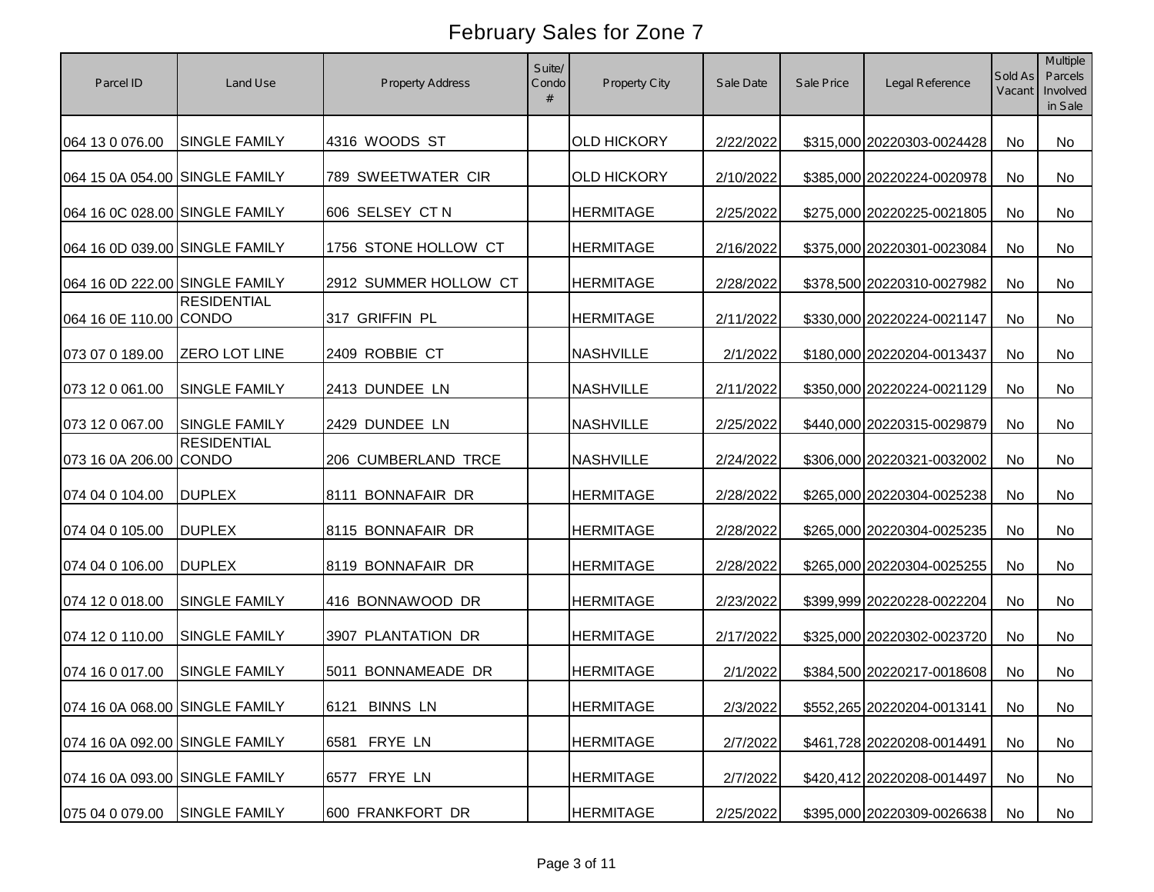| Parcel ID                      | Land Use             | <b>Property Address</b> | Suite/<br>Condo | Property City      | Sale Date | Sale Price | Legal Reference            | Sold As<br>Vacant | Multiple<br>Parcels<br>Involved<br>in Sale |
|--------------------------------|----------------------|-------------------------|-----------------|--------------------|-----------|------------|----------------------------|-------------------|--------------------------------------------|
| 064 13 0 076.00                | <b>SINGLE FAMILY</b> | 4316 WOODS ST           |                 | <b>OLD HICKORY</b> | 2/22/2022 |            | \$315,000 20220303-0024428 | No                | <b>No</b>                                  |
| 064 15 0A 054.00 SINGLE FAMILY |                      | 789 SWEETWATER CIR      |                 | <b>OLD HICKORY</b> | 2/10/2022 |            | \$385,000 20220224-0020978 | <b>No</b>         | No                                         |
| 064 16 0C 028.00 SINGLE FAMILY |                      | 606 SELSEY CT N         |                 | <b>HERMITAGE</b>   | 2/25/2022 |            | \$275,000 20220225-0021805 | <b>No</b>         | No                                         |
| 064 16 0D 039.00 SINGLE FAMILY |                      | 1756 STONE HOLLOW CT    |                 | <b>HERMITAGE</b>   | 2/16/2022 |            | \$375,000 20220301-0023084 | <b>No</b>         | No                                         |
| 064 16 0D 222.00 SINGLE FAMILY |                      | 2912 SUMMER HOLLOW CT   |                 | <b>HERMITAGE</b>   | 2/28/2022 |            | \$378,500 20220310-0027982 | <b>No</b>         | No                                         |
| 064 16 0E 110.00 CONDO         | <b>RESIDENTIAL</b>   | 317 GRIFFIN PL          |                 | <b>HERMITAGE</b>   | 2/11/2022 |            | \$330,000 20220224-0021147 | No                | <b>No</b>                                  |
| 073 07 0 189.00                | <b>ZERO LOT LINE</b> | 2409 ROBBIE CT          |                 | <b>NASHVILLE</b>   | 2/1/2022  |            | \$180,000 20220204-0013437 | No                | No                                         |
| 073 12 0 061.00                | SINGLE FAMILY        | 2413 DUNDEE LN          |                 | <b>NASHVILLE</b>   | 2/11/2022 |            | \$350,000 20220224-0021129 | No                | No                                         |
| 073 12 0 067.00                | SINGLE FAMILY        | 2429 DUNDEE LN          |                 | <b>NASHVILLE</b>   | 2/25/2022 |            | \$440,000 20220315-0029879 | No                | No                                         |
| 073 16 0A 206.00 CONDO         | <b>RESIDENTIAL</b>   | 206 CUMBERLAND TRCE     |                 | <b>NASHVILLE</b>   | 2/24/2022 |            | \$306,000 20220321-0032002 | No                | No                                         |
| 074 04 0 104.00                | <b>DUPLEX</b>        | 8111 BONNAFAIR DR       |                 | <b>HERMITAGE</b>   | 2/28/2022 |            | \$265,000 20220304-0025238 | No                | No                                         |
| 074 04 0 105.00                | <b>DUPLEX</b>        | 8115 BONNAFAIR DR       |                 | <b>HERMITAGE</b>   | 2/28/2022 |            | \$265,000 20220304-0025235 | No                | <b>No</b>                                  |
| 074 04 0 106.00                | <b>DUPLEX</b>        | 8119 BONNAFAIR DR       |                 | <b>HERMITAGE</b>   | 2/28/2022 |            | \$265,000 20220304-0025255 | No                | <b>No</b>                                  |
| 074 12 0 018.00                | SINGLE FAMILY        | 416 BONNAWOOD DR        |                 | <b>HERMITAGE</b>   | 2/23/2022 |            | \$399,999 20220228-0022204 | No                | <b>No</b>                                  |
| 074 12 0 110.00                | <b>SINGLE FAMILY</b> | 3907 PLANTATION DR      |                 | <b>HERMITAGE</b>   | 2/17/2022 |            | \$325,000 20220302-0023720 | No                | <b>No</b>                                  |
| 074 16 0 017.00                | <b>SINGLE FAMILY</b> | 5011 BONNAMEADE DR      |                 | <b>HERMITAGE</b>   | 2/1/2022  |            | \$384,500 20220217-0018608 | No                | No                                         |
| 074 16 0A 068.00 SINGLE FAMILY |                      | 6121 BINNS LN           |                 | <b>HERMITAGE</b>   | 2/3/2022  |            | \$552,265 20220204-0013141 | No                | No                                         |
| 074 16 0A 092.00 SINGLE FAMILY |                      | 6581 FRYE LN            |                 | <b>HERMITAGE</b>   | 2/7/2022  |            | \$461,728 20220208-0014491 | No                | No                                         |
| 074 16 0A 093.00 SINGLE FAMILY |                      | 6577 FRYE LN            |                 | <b>HERMITAGE</b>   | 2/7/2022  |            | \$420,412 20220208-0014497 | No                | No                                         |
| 075 04 0 079.00                | SINGLE FAMILY        | 600 FRANKFORT DR        |                 | <b>HERMITAGE</b>   | 2/25/2022 |            | \$395,000 20220309-0026638 | No                | No                                         |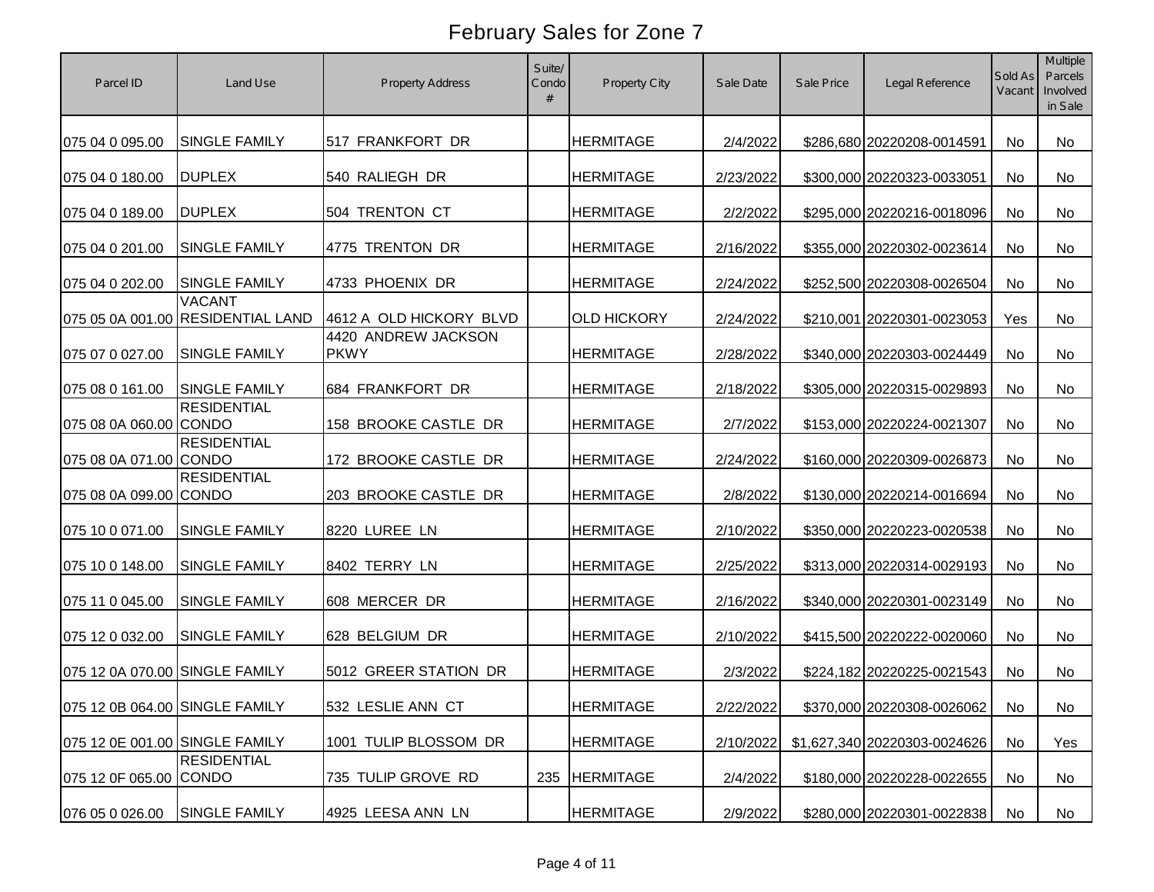| Parcel ID                      | Land Use                                           | <b>Property Address</b>            | Suite/<br>Condo | Property City      | Sale Date | Sale Price | Legal Reference              | Sold As<br>Vacant | Multiple<br>Parcels<br>Involved<br>in Sale |
|--------------------------------|----------------------------------------------------|------------------------------------|-----------------|--------------------|-----------|------------|------------------------------|-------------------|--------------------------------------------|
| 075 04 0 095.00                | <b>SINGLE FAMILY</b>                               | 517 FRANKFORT DR                   |                 | <b>HERMITAGE</b>   | 2/4/2022  |            | \$286,680 20220208-0014591   | No                | <b>No</b>                                  |
| 075 04 0 180.00                | <b>DUPLEX</b>                                      | 540 RALIEGH DR                     |                 | <b>HERMITAGE</b>   | 2/23/2022 |            | \$300,000 20220323-0033051   | No                | No                                         |
| 075 04 0 189.00                | <b>DUPLEX</b>                                      | 504 TRENTON CT                     |                 | <b>HERMITAGE</b>   | 2/2/2022  |            | \$295,000 20220216-0018096   | <b>No</b>         | <b>No</b>                                  |
| 075 04 0 201.00                | <b>SINGLE FAMILY</b>                               | 4775 TRENTON DR                    |                 | <b>HERMITAGE</b>   | 2/16/2022 |            | \$355,000 20220302-0023614   | <b>No</b>         | <b>No</b>                                  |
| 075 04 0 202.00                | <b>SINGLE FAMILY</b>                               | 4733 PHOENIX DR                    |                 | <b>HERMITAGE</b>   | 2/24/2022 |            | \$252,500 20220308-0026504   | <b>No</b>         | No                                         |
|                                | <b>VACANT</b><br>075 05 0A 001.00 RESIDENTIAL LAND | 4612 A OLD HICKORY BLVD            |                 | <b>OLD HICKORY</b> | 2/24/2022 |            | \$210,001 20220301-0023053   | Yes               | <b>No</b>                                  |
| 075 07 0 027.00                | SINGLE FAMILY                                      | 4420 ANDREW JACKSON<br><b>PKWY</b> |                 | <b>HERMITAGE</b>   | 2/28/2022 |            | \$340,000 20220303-0024449   | <b>No</b>         | No                                         |
| 075 08 0 161.00                | <b>SINGLE FAMILY</b>                               | 684 FRANKFORT DR                   |                 | <b>HERMITAGE</b>   | 2/18/2022 |            | \$305,000 20220315-0029893   | <b>No</b>         | No                                         |
| 075 08 0A 060.00 CONDO         | <b>RESIDENTIAL</b>                                 | 158 BROOKE CASTLE DR               |                 | <b>HERMITAGE</b>   | 2/7/2022  |            | \$153,000 20220224-0021307   | No                | <b>No</b>                                  |
| 075 08 0A 071.00 CONDO         | <b>RESIDENTIAL</b>                                 | 172 BROOKE CASTLE DR               |                 | <b>HERMITAGE</b>   | 2/24/2022 |            | \$160,000 20220309-0026873   | No                | No                                         |
| 075 08 0A 099.00 CONDO         | <b>RESIDENTIAL</b>                                 | 203 BROOKE CASTLE DR               |                 | <b>HERMITAGE</b>   | 2/8/2022  |            | \$130,000 20220214-0016694   | No                | No                                         |
| 075 10 0 071.00                | <b>SINGLE FAMILY</b>                               | 8220 LUREE LN                      |                 | <b>HERMITAGE</b>   | 2/10/2022 |            | \$350,000 20220223-0020538   | No                | <b>No</b>                                  |
| 075 10 0 148.00                | SINGLE FAMILY                                      | 8402 TERRY LN                      |                 | <b>HERMITAGE</b>   | 2/25/2022 |            | \$313,000 20220314-0029193   | No                | <b>No</b>                                  |
| 075 11 0 045.00                | SINGLE FAMILY                                      | 608 MERCER DR                      |                 | <b>HERMITAGE</b>   | 2/16/2022 |            | \$340,000 20220301-0023149   | <b>No</b>         | <b>No</b>                                  |
| 075 12 0 032.00                | <b>SINGLE FAMILY</b>                               | 628 BELGIUM DR                     |                 | <b>HERMITAGE</b>   | 2/10/2022 |            | \$415,500 20220222-0020060   | No                | <b>No</b>                                  |
| 075 12 0A 070.00 SINGLE FAMILY |                                                    | 5012 GREER STATION DR              |                 | <b>HERMITAGE</b>   | 2/3/2022  |            | \$224,182 20220225-0021543   | No                | <b>No</b>                                  |
| 075 12 0B 064.00 SINGLE FAMILY |                                                    | 532 LESLIE ANN CT                  |                 | <b>HERMITAGE</b>   | 2/22/2022 |            | \$370,000 20220308-0026062   | No                | No                                         |
| 075 12 0E 001.00 SINGLE FAMILY |                                                    | 1001 TULIP BLOSSOM DR              |                 | <b>HERMITAGE</b>   | 2/10/2022 |            | \$1,627,340 20220303-0024626 | No                | Yes                                        |
| 075 12 0F 065.00 CONDO         | <b>RESIDENTIAL</b>                                 | 735 TULIP GROVE RD                 | 235             | <b>HERMITAGE</b>   | 2/4/2022  |            | \$180,000 20220228-0022655   | No                | No                                         |
| 076 05 0 026.00                | <b>SINGLE FAMILY</b>                               | 4925 LEESA ANN LN                  |                 | <b>HERMITAGE</b>   | 2/9/2022  |            | \$280,000 20220301-0022838   | No                | No                                         |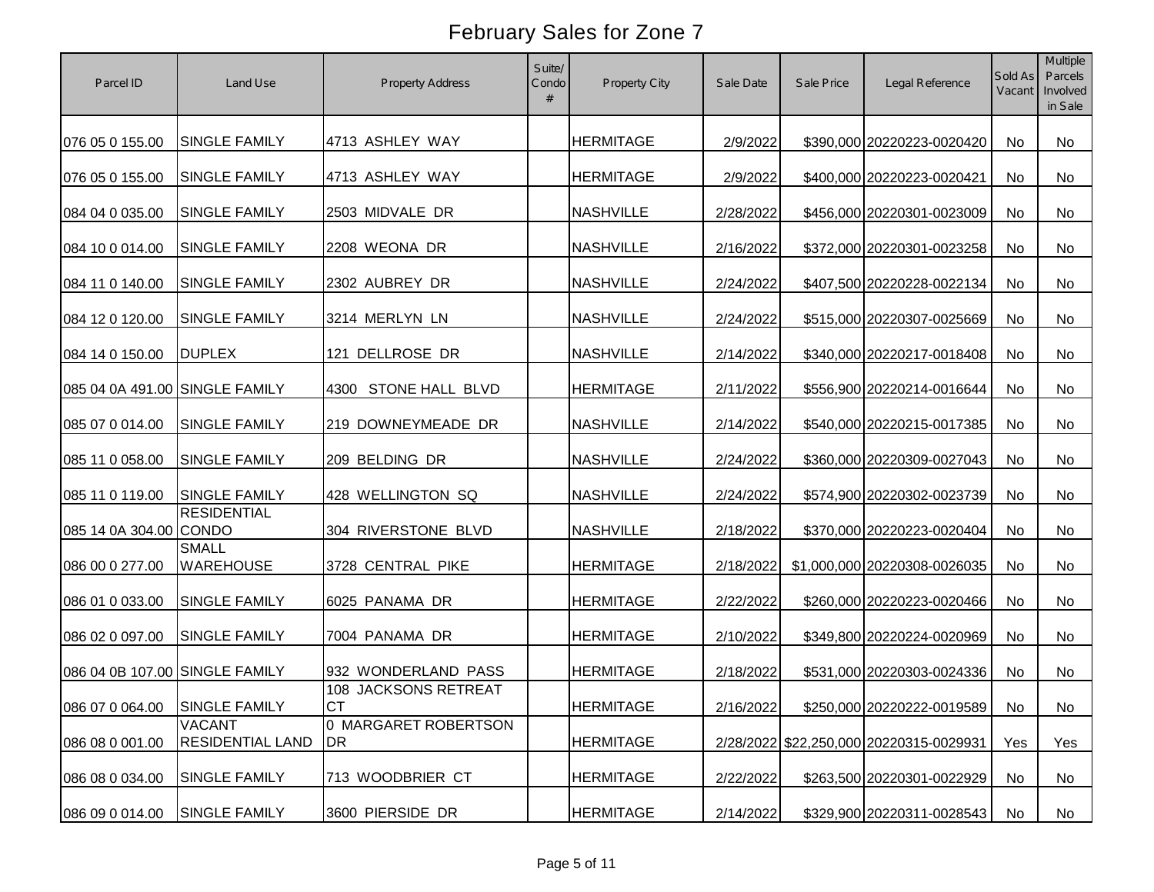| Parcel ID                      | Land Use                                 | <b>Property Address</b>           | Suite/<br>Condo | Property City    | Sale Date | Sale Price | Legal Reference                         | Sold As<br>Vacant | Multiple<br>Parcels<br>Involved<br>in Sale |
|--------------------------------|------------------------------------------|-----------------------------------|-----------------|------------------|-----------|------------|-----------------------------------------|-------------------|--------------------------------------------|
| 076 05 0 155.00                | <b>SINGLE FAMILY</b>                     | 4713 ASHLEY WAY                   |                 | <b>HERMITAGE</b> | 2/9/2022  |            | \$390,000 20220223-0020420              | <b>No</b>         | No                                         |
| 076 05 0 155.00                | <b>SINGLE FAMILY</b>                     | 4713 ASHLEY WAY                   |                 | <b>HERMITAGE</b> | 2/9/2022  |            | \$400,000 20220223-0020421              | <b>No</b>         | No                                         |
| 084 04 0 035.00                | <b>SINGLE FAMILY</b>                     | 2503 MIDVALE DR                   |                 | <b>NASHVILLE</b> | 2/28/2022 |            | \$456,000 20220301-0023009              | <b>No</b>         | No                                         |
| 084 10 0 014.00                | <b>SINGLE FAMILY</b>                     | 2208 WEONA DR                     |                 | <b>NASHVILLE</b> | 2/16/2022 |            | \$372,000 20220301-0023258              | <b>No</b>         | No                                         |
| 084 11 0 140.00                | <b>SINGLE FAMILY</b>                     | 2302 AUBREY DR                    |                 | <b>NASHVILLE</b> | 2/24/2022 |            | \$407,500 20220228-0022134              | <b>No</b>         | No                                         |
| 084 12 0 120.00                | <b>SINGLE FAMILY</b>                     | 3214 MERLYN LN                    |                 | <b>NASHVILLE</b> | 2/24/2022 |            | \$515,000 20220307-0025669              | No                | No                                         |
| 084 14 0 150.00                | <b>DUPLEX</b>                            | 121 DELLROSE DR                   |                 | <b>NASHVILLE</b> | 2/14/2022 |            | \$340,000 20220217-0018408              | No                | No                                         |
| 085 04 0A 491.00 SINGLE FAMILY |                                          | <b>STONE HALL BLVD</b><br>4300    |                 | <b>HERMITAGE</b> | 2/11/2022 |            | \$556,900 20220214-0016644              | No                | No                                         |
| 085 07 0 014.00                | <b>SINGLE FAMILY</b>                     | 219 DOWNEYMEADE DR                |                 | <b>NASHVILLE</b> | 2/14/2022 |            | \$540,000 20220215-0017385              | No                | No                                         |
| 085 11 0 058.00                | <b>SINGLE FAMILY</b>                     | 209 BELDING DR                    |                 | <b>NASHVILLE</b> | 2/24/2022 |            | \$360,000 20220309-0027043              | No                | No                                         |
| 085 11 0 119.00                | <b>SINGLE FAMILY</b>                     | 428 WELLINGTON SQ                 |                 | <b>NASHVILLE</b> | 2/24/2022 |            | \$574,900 20220302-0023739              | No                | <b>No</b>                                  |
| 085 14 0A 304.00 CONDO         | <b>RESIDENTIAL</b>                       | 304 RIVERSTONE BLVD               |                 | <b>NASHVILLE</b> | 2/18/2022 |            | \$370,000 20220223-0020404              | No                | No                                         |
| 086 00 0 277.00                | <b>SMALL</b><br><b>WAREHOUSE</b>         | 3728 CENTRAL PIKE                 |                 | <b>HERMITAGE</b> | 2/18/2022 |            | \$1,000,000 20220308-0026035            | No                | No                                         |
| 086 01 0 033.00                | <b>SINGLE FAMILY</b>                     | 6025 PANAMA DR                    |                 | <b>HERMITAGE</b> | 2/22/2022 |            | \$260,000 20220223-0020466              | No                | <b>No</b>                                  |
| 086 02 0 097.00                | <b>SINGLE FAMILY</b>                     | 7004 PANAMA DR                    |                 | <b>HERMITAGE</b> | 2/10/2022 |            | \$349,800 20220224-0020969              | No                | No                                         |
| 086 04 0B 107.00 SINGLE FAMILY |                                          | 932 WONDERLAND PASS               |                 | <b>HERMITAGE</b> | 2/18/2022 |            | \$531,000 20220303-0024336              | No                | No                                         |
| 086 07 0 064.00 SINGLE FAMILY  |                                          | 108 JACKSONS RETREAT<br><b>CT</b> |                 | <b>HERMITAGE</b> | 2/16/2022 |            | \$250,000 20220222-0019589              | No                | No                                         |
| 086 08 0 001.00                | <b>VACANT</b><br><b>RESIDENTIAL LAND</b> | 0 MARGARET ROBERTSON<br>DR        |                 | <b>HERMITAGE</b> |           |            | 2/28/2022 \$22,250,000 20220315-0029931 | Yes               | Yes                                        |
| 086 08 0 034.00                | SINGLE FAMILY                            | 713 WOODBRIER CT                  |                 | <b>HERMITAGE</b> | 2/22/2022 |            | \$263,500 20220301-0022929              | No                | No                                         |
| 086 09 0 014.00                | SINGLE FAMILY                            | 3600 PIERSIDE DR                  |                 | <b>HERMITAGE</b> | 2/14/2022 |            | \$329,900 20220311-0028543              | No                | No                                         |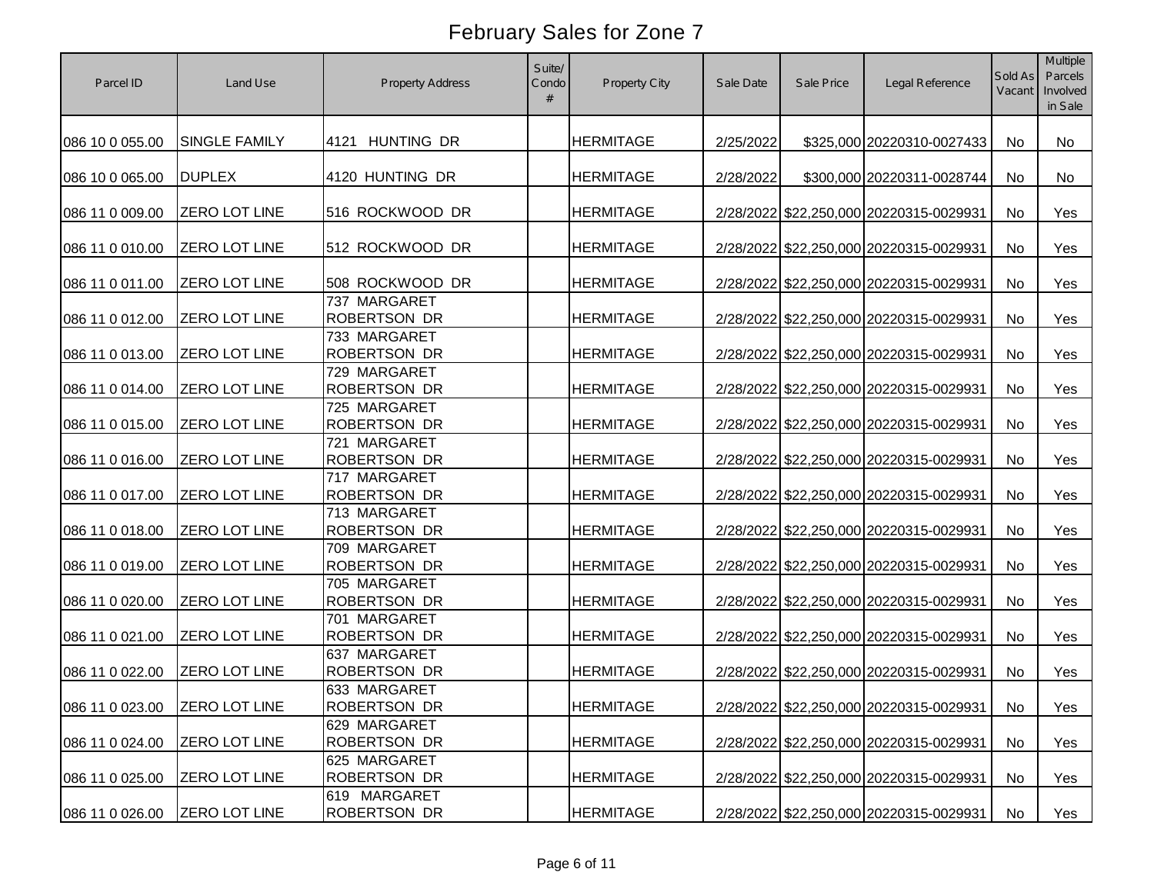| Parcel ID                     | Land Use             | <b>Property Address</b>             | Suite/<br>Condo | Property City    | Sale Date | Sale Price | Legal Reference                         | Sold As<br>Vacant | Multiple<br>Parcels<br>Involved<br>in Sale |
|-------------------------------|----------------------|-------------------------------------|-----------------|------------------|-----------|------------|-----------------------------------------|-------------------|--------------------------------------------|
| 086 10 0 055.00               | SINGLE FAMILY        | 4121 HUNTING DR                     |                 | <b>HERMITAGE</b> | 2/25/2022 |            | \$325,000 20220310-0027433              | No                | No                                         |
| 086 10 0 065.00               | <b>DUPLEX</b>        | 4120 HUNTING DR                     |                 | <b>HERMITAGE</b> | 2/28/2022 |            | \$300,000 20220311-0028744              | No                | No                                         |
| 086 11 0 009.00               | <b>ZERO LOT LINE</b> | 516 ROCKWOOD DR                     |                 | <b>HERMITAGE</b> |           |            | 2/28/2022 \$22,250,000 20220315-0029931 | No                | Yes                                        |
| 086 11 0 010.00               | ZERO LOT LINE        | 512 ROCKWOOD DR                     |                 | <b>HERMITAGE</b> |           |            | 2/28/2022 \$22,250,000 20220315-0029931 | No                | Yes                                        |
| 086 11 0 011.00               | <b>ZERO LOT LINE</b> | 508 ROCKWOOD DR                     |                 | <b>HERMITAGE</b> |           |            | 2/28/2022 \$22,250,000 20220315-0029931 | No                | Yes                                        |
| 086 11 0 012.00               | ZERO LOT LINE        | 737 MARGARET<br><b>ROBERTSON DR</b> |                 | <b>HERMITAGE</b> |           |            | 2/28/2022 \$22,250,000 20220315-0029931 | No                | Yes                                        |
| 086 11 0 013.00               | ZERO LOT LINE        | 733 MARGARET<br><b>ROBERTSON DR</b> |                 | <b>HERMITAGE</b> |           |            | 2/28/2022 \$22,250,000 20220315-0029931 | No                | Yes                                        |
| 086 11 0 014.00               | ZERO LOT LINE        | 729 MARGARET<br><b>ROBERTSON DR</b> |                 | <b>HERMITAGE</b> |           |            | 2/28/2022 \$22,250,000 20220315-0029931 | No                | Yes                                        |
| 086 11 0 015.00               | <b>ZERO LOT LINE</b> | 725 MARGARET<br><b>ROBERTSON DR</b> |                 | <b>HERMITAGE</b> |           |            | 2/28/2022 \$22,250,000 20220315-0029931 | No                | Yes                                        |
| 086 11 0 016.00               | ZERO LOT LINE        | 721 MARGARET<br><b>ROBERTSON DR</b> |                 | <b>HERMITAGE</b> |           |            | 2/28/2022 \$22,250,000 20220315-0029931 | No                | Yes                                        |
| 086 11 0 017.00               | ZERO LOT LINE        | 717 MARGARET<br><b>ROBERTSON DR</b> |                 | <b>HERMITAGE</b> |           |            | 2/28/2022 \$22,250,000 20220315-0029931 | No                | Yes                                        |
| 086 11 0 018.00               | <b>ZERO LOT LINE</b> | 713 MARGARET<br><b>ROBERTSON DR</b> |                 | <b>HERMITAGE</b> |           |            | 2/28/2022 \$22,250,000 20220315-0029931 | No                | Yes                                        |
| 086 11 0 019.00               | ZERO LOT LINE        | 709 MARGARET<br><b>ROBERTSON DR</b> |                 | <b>HERMITAGE</b> |           |            | 2/28/2022 \$22,250,000 20220315-0029931 | No                | Yes                                        |
| 086 11 0 020.00               | ZERO LOT LINE        | 705 MARGARET<br><b>ROBERTSON DR</b> |                 | <b>HERMITAGE</b> |           |            | 2/28/2022 \$22,250,000 20220315-0029931 | No                | Yes                                        |
| 086 11 0 021.00               | <b>ZERO LOT LINE</b> | 701 MARGARET<br><b>ROBERTSON DR</b> |                 | <b>HERMITAGE</b> |           |            | 2/28/2022 \$22,250,000 20220315-0029931 | No                | Yes                                        |
| 086 11 0 022.00               | <b>ZERO LOT LINE</b> | 637 MARGARET<br><b>ROBERTSON DR</b> |                 | <b>HERMITAGE</b> |           |            | 2/28/2022 \$22,250,000 20220315-0029931 | No                | Yes                                        |
| 086 11 0 023.00 ZERO LOT LINE |                      | 633 MARGARET<br><b>ROBERTSON DR</b> |                 | <b>HERMITAGE</b> |           |            | 2/28/2022 \$22,250,000 20220315-0029931 | No                | Yes                                        |
| 086 11 0 024.00               | ZERO LOT LINE        | 629 MARGARET<br><b>ROBERTSON DR</b> |                 | <b>HERMITAGE</b> |           |            | 2/28/2022 \$22,250,000 20220315-0029931 | No                | Yes                                        |
| 086 11 0 025.00               | ZERO LOT LINE        | 625 MARGARET<br><b>ROBERTSON DR</b> |                 | <b>HERMITAGE</b> |           |            | 2/28/2022 \$22,250,000 20220315-0029931 | No                | Yes                                        |
| 086 11 0 026.00               | <b>ZERO LOT LINE</b> | 619 MARGARET<br>ROBERTSON DR        |                 | <b>HERMITAGE</b> |           |            | 2/28/2022 \$22,250,000 20220315-0029931 | No                | Yes                                        |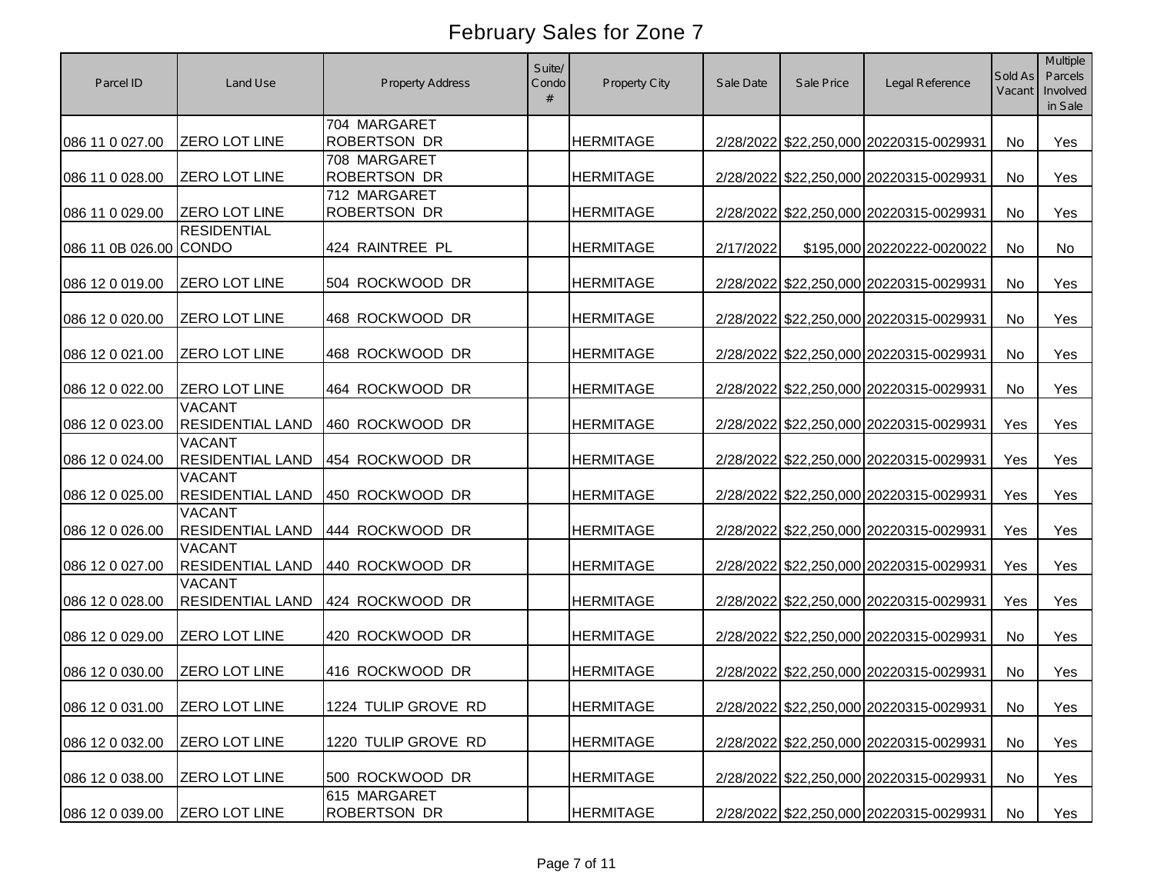| Parcel ID                     | Land Use                                 | <b>Property Address</b>             | Suite/<br>Condo | Property City    | Sale Date | Sale Price | Legal Reference                         | Sold As<br>Vacant | Multiple<br>Parcels<br>Involved<br>in Sale |
|-------------------------------|------------------------------------------|-------------------------------------|-----------------|------------------|-----------|------------|-----------------------------------------|-------------------|--------------------------------------------|
| 086 11 0 027.00               | ZERO LOT LINE                            | 704 MARGARET<br><b>ROBERTSON DR</b> |                 | <b>HERMITAGE</b> |           |            | 2/28/2022 \$22,250,000 20220315-0029931 | No                | Yes                                        |
| 086 11 0 028.00               | ZERO LOT LINE                            | 708 MARGARET<br><b>ROBERTSON DR</b> |                 | <b>HERMITAGE</b> |           |            | 2/28/2022 \$22,250,000 20220315-0029931 | No                | Yes                                        |
| 086 11 0 029.00               | <b>ZERO LOT LINE</b>                     | 712 MARGARET<br><b>ROBERTSON DR</b> |                 | <b>HERMITAGE</b> |           |            | 2/28/2022 \$22,250,000 20220315-0029931 | No                | Yes                                        |
| 086 11 0B 026.00 CONDO        | <b>RESIDENTIAL</b>                       | 424 RAINTREE PL                     |                 | <b>HERMITAGE</b> | 2/17/2022 |            | \$195,000 20220222-0020022              | No                | No                                         |
| 086 12 0 019.00               | ZERO LOT LINE                            | 504 ROCKWOOD DR                     |                 | <b>HERMITAGE</b> |           |            | 2/28/2022 \$22,250,000 20220315-0029931 | No                | Yes                                        |
| 086 12 0 020.00               | ZERO LOT LINE                            | 468 ROCKWOOD DR                     |                 | <b>HERMITAGE</b> |           |            | 2/28/2022 \$22,250,000 20220315-0029931 | No                | Yes                                        |
| 086 12 0 021.00               | ZERO LOT LINE                            | 468 ROCKWOOD DR                     |                 | <b>HERMITAGE</b> |           |            | 2/28/2022 \$22,250,000 20220315-0029931 | No                | Yes                                        |
| 086 12 0 022.00               | ZERO LOT LINE                            | 464 ROCKWOOD DR                     |                 | <b>HERMITAGE</b> |           |            | 2/28/2022 \$22,250,000 20220315-0029931 | No                | Yes                                        |
| 086 12 0 023.00               | <b>VACANT</b><br><b>RESIDENTIAL LAND</b> | 460 ROCKWOOD DR                     |                 | <b>HERMITAGE</b> |           |            | 2/28/2022 \$22,250,000 20220315-0029931 | Yes               | Yes                                        |
| 086 12 0 024.00               | <b>VACANT</b><br><b>RESIDENTIAL LAND</b> | 454 ROCKWOOD DR                     |                 | <b>HERMITAGE</b> |           |            | 2/28/2022 \$22,250,000 20220315-0029931 | Yes               | Yes                                        |
| 086 12 0 025.00               | <b>VACANT</b><br><b>RESIDENTIAL LAND</b> | 450 ROCKWOOD DR                     |                 | <b>HERMITAGE</b> |           |            | 2/28/2022 \$22,250,000 20220315-0029931 | Yes               | Yes                                        |
| 086 12 0 026.00               | <b>VACANT</b><br><b>RESIDENTIAL LAND</b> | 444 ROCKWOOD DR                     |                 | <b>HERMITAGE</b> |           |            | 2/28/2022 \$22,250,000 20220315-0029931 | Yes               | Yes                                        |
| 086 12 0 027.00               | <b>VACANT</b><br><b>RESIDENTIAL LAND</b> | 440 ROCKWOOD DR                     |                 | <b>HERMITAGE</b> |           |            | 2/28/2022 \$22,250,000 20220315-0029931 | Yes               | Yes                                        |
| 086 12 0 028.00               | <b>VACANT</b><br><b>RESIDENTIAL LAND</b> | 424 ROCKWOOD DR                     |                 | <b>HERMITAGE</b> |           |            | 2/28/2022 \$22,250,000 20220315-0029931 | Yes               | Yes                                        |
| 086 12 0 029.00               | ZERO LOT LINE                            | 420 ROCKWOOD DR                     |                 | <b>HERMITAGE</b> |           |            | 2/28/2022 \$22,250,000 20220315-0029931 | No                | Yes                                        |
| 086 12 0 030.00               | ZERO LOT LINE                            | 416 ROCKWOOD DR                     |                 | <b>HERMITAGE</b> |           |            | 2/28/2022 \$22,250,000 20220315-0029931 | No                | Yes                                        |
| 086 12 0 031.00 ZERO LOT LINE |                                          | 1224 TULIP GROVE RD                 |                 | <b>HERMITAGE</b> |           |            | 2/28/2022 \$22,250,000 20220315-0029931 | No                | Yes                                        |
| 086 12 0 032.00               | ZERO LOT LINE                            | 1220 TULIP GROVE RD                 |                 | <b>HERMITAGE</b> |           |            | 2/28/2022 \$22,250,000 20220315-0029931 | No                | Yes                                        |
| 086 12 0 038.00               | ZERO LOT LINE                            | 500 ROCKWOOD DR                     |                 | <b>HERMITAGE</b> |           |            | 2/28/2022 \$22,250,000 20220315-0029931 | No                | Yes                                        |
| 086 12 0 039.00               | <b>ZERO LOT LINE</b>                     | 615 MARGARET<br><b>ROBERTSON DR</b> |                 | <b>HERMITAGE</b> |           |            | 2/28/2022 \$22,250,000 20220315-0029931 | No                | Yes                                        |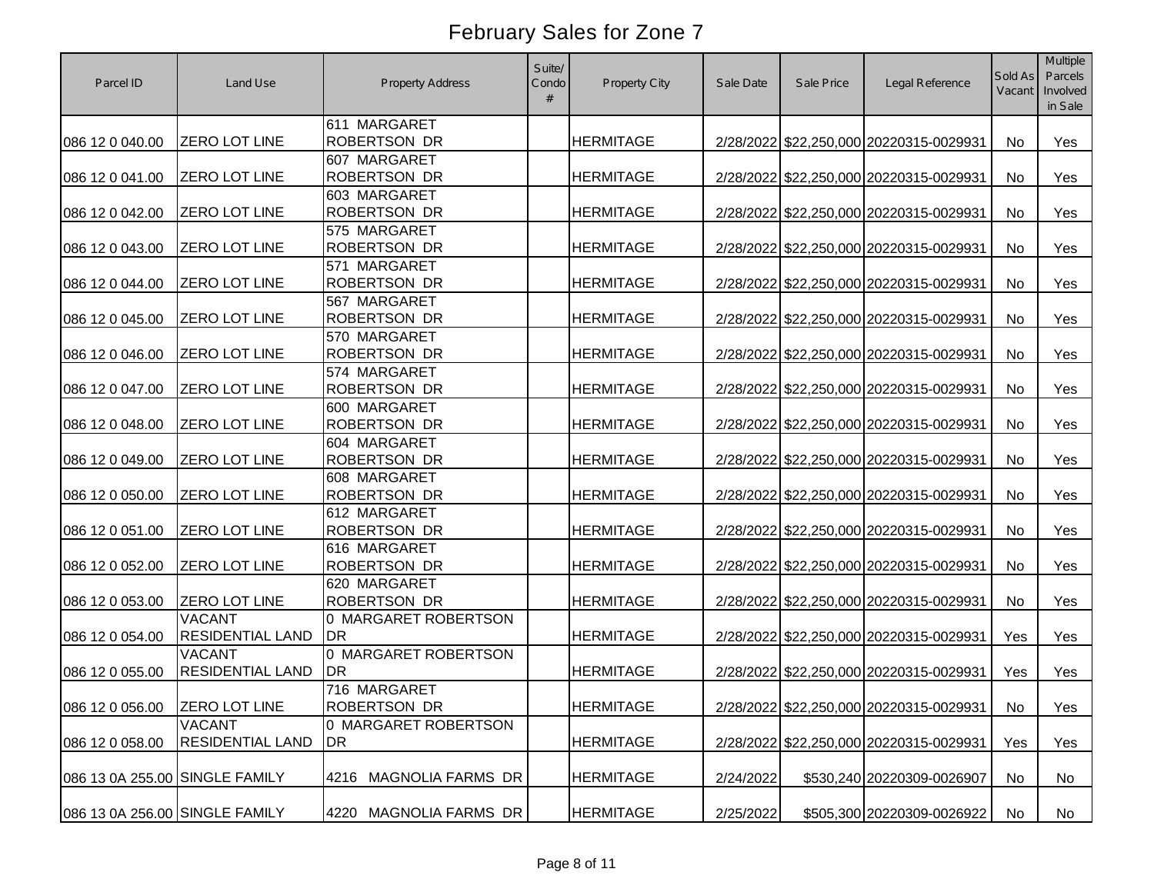| Parcel ID                      | Land Use                                 | <b>Property Address</b>             | Suite/<br>Condo | Property City    | Sale Date | Sale Price | Legal Reference                         | Sold As<br>Vacant | Multiple<br>Parcels<br>Involved<br>in Sale |
|--------------------------------|------------------------------------------|-------------------------------------|-----------------|------------------|-----------|------------|-----------------------------------------|-------------------|--------------------------------------------|
| 086 12 0 040.00                | ZERO LOT LINE                            | 611 MARGARET<br><b>ROBERTSON DR</b> |                 | <b>HERMITAGE</b> |           |            | 2/28/2022 \$22,250,000 20220315-0029931 | No                | Yes                                        |
| 086 12 0 041.00                | ZERO LOT LINE                            | 607 MARGARET<br><b>ROBERTSON DR</b> |                 | <b>HERMITAGE</b> |           |            | 2/28/2022 \$22,250,000 20220315-0029931 | No                | Yes                                        |
| 086 12 0 042.00                | <b>ZERO LOT LINE</b>                     | 603 MARGARET<br><b>ROBERTSON DR</b> |                 | <b>HERMITAGE</b> |           |            | 2/28/2022 \$22,250,000 20220315-0029931 | No                | Yes                                        |
| 086 12 0 043.00                | ZERO LOT LINE                            | 575 MARGARET<br><b>ROBERTSON DR</b> |                 | <b>HERMITAGE</b> |           |            | 2/28/2022 \$22,250,000 20220315-0029931 | No                | Yes                                        |
| 086 12 0 044.00                | ZERO LOT LINE                            | 571 MARGARET<br><b>ROBERTSON DR</b> |                 | <b>HERMITAGE</b> |           |            | 2/28/2022 \$22,250,000 20220315-0029931 | No                | Yes                                        |
| 086 12 0 045.00                | <b>ZERO LOT LINE</b>                     | 567 MARGARET<br><b>ROBERTSON DR</b> |                 | <b>HERMITAGE</b> |           |            | 2/28/2022 \$22,250,000 20220315-0029931 | No                | Yes                                        |
| 086 12 0 046.00                | ZERO LOT LINE                            | 570 MARGARET<br><b>ROBERTSON DR</b> |                 | <b>HERMITAGE</b> |           |            | 2/28/2022 \$22,250,000 20220315-0029931 | No                | Yes                                        |
| 086 12 0 047.00                | ZERO LOT LINE                            | 574 MARGARET<br><b>ROBERTSON DR</b> |                 | <b>HERMITAGE</b> |           |            | 2/28/2022 \$22,250,000 20220315-0029931 | No                | Yes                                        |
| 086 12 0 048.00                | <b>ZERO LOT LINE</b>                     | 600 MARGARET<br><b>ROBERTSON DR</b> |                 | <b>HERMITAGE</b> |           |            | 2/28/2022 \$22,250,000 20220315-0029931 | No                | Yes                                        |
| 086 12 0 049.00                | ZERO LOT LINE                            | 604 MARGARET<br><b>ROBERTSON DR</b> |                 | <b>HERMITAGE</b> |           |            | 2/28/2022 \$22,250,000 20220315-0029931 | No                | Yes                                        |
| 086 12 0 050.00                | ZERO LOT LINE                            | 608 MARGARET<br><b>ROBERTSON DR</b> |                 | <b>HERMITAGE</b> |           |            | 2/28/2022 \$22,250,000 20220315-0029931 | No                | Yes                                        |
| 086 12 0 051.00                | ZERO LOT LINE                            | 612 MARGARET<br><b>ROBERTSON DR</b> |                 | <b>HERMITAGE</b> |           |            | 2/28/2022 \$22,250,000 20220315-0029931 | No                | Yes                                        |
| 086 12 0 052.00                | ZERO LOT LINE                            | 616 MARGARET<br><b>ROBERTSON DR</b> |                 | <b>HERMITAGE</b> |           |            | 2/28/2022 \$22,250,000 20220315-0029931 | No                | Yes                                        |
| 086 12 0 053.00                | <b>ZERO LOT LINE</b>                     | 620 MARGARET<br><b>ROBERTSON DR</b> |                 | <b>HERMITAGE</b> |           |            | 2/28/2022 \$22,250,000 20220315-0029931 | No                | Yes                                        |
| 086 12 0 054.00                | <b>VACANT</b><br><b>RESIDENTIAL LAND</b> | 0 MARGARET ROBERTSON<br>DR          |                 | <b>HERMITAGE</b> |           |            | 2/28/2022 \$22,250,000 20220315-0029931 | Yes               | Yes                                        |
| 086 12 0 055.00                | <b>VACANT</b><br><b>RESIDENTIAL LAND</b> | 0 MARGARET ROBERTSON<br><b>IDR</b>  |                 | <b>HERMITAGE</b> |           |            | 2/28/2022 \$22,250,000 20220315-0029931 | Yes               | Yes                                        |
| 086 12 0 056.00 ZERO LOT LINE  |                                          | 716 MARGARET<br>ROBERTSON DR        |                 | <b>HERMITAGE</b> |           |            | 2/28/2022 \$22,250,000 20220315-0029931 | No                | Yes                                        |
| 086 12 0 058.00                | <b>VACANT</b><br><b>RESIDENTIAL LAND</b> | 0 MARGARET ROBERTSON<br>DR          |                 | <b>HERMITAGE</b> |           |            | 2/28/2022 \$22,250,000 20220315-0029931 | Yes               | Yes                                        |
| 086 13 0A 255.00 SINGLE FAMILY |                                          | 4216 MAGNOLIA FARMS DR              |                 | <b>HERMITAGE</b> | 2/24/2022 |            | \$530,240 20220309-0026907              | No                | No                                         |
| 086 13 0A 256.00 SINGLE FAMILY |                                          | MAGNOLIA FARMS DR<br>4220           |                 | <b>HERMITAGE</b> | 2/25/2022 |            | \$505,300 20220309-0026922              | No                | No                                         |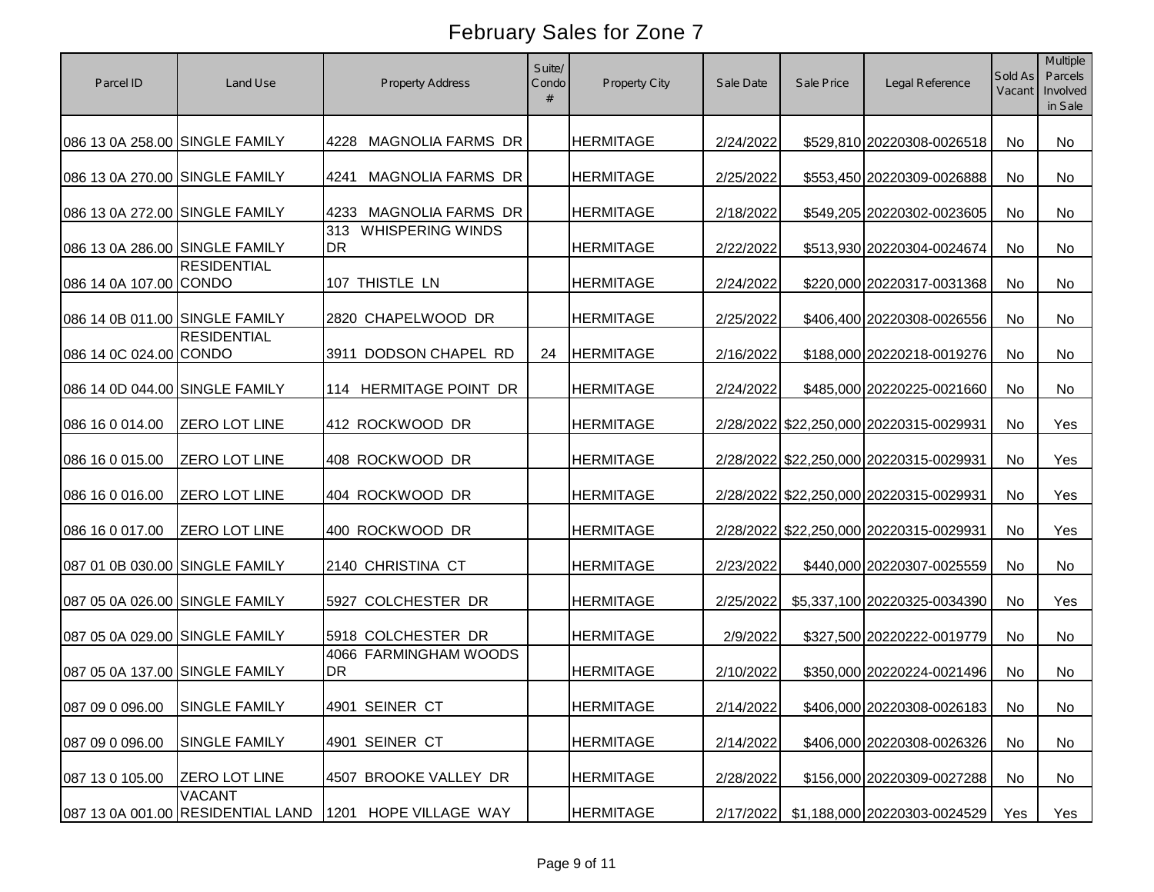| Parcel ID                      | Land Use                                           | <b>Property Address</b>                     | Suite/<br>Condo | Property City    | Sale Date | Sale Price | Legal Reference                         | Sold As<br>Vacant | Multiple<br>Parcels<br>Involved<br>in Sale |
|--------------------------------|----------------------------------------------------|---------------------------------------------|-----------------|------------------|-----------|------------|-----------------------------------------|-------------------|--------------------------------------------|
| 086 13 0A 258.00 SINGLE FAMILY |                                                    | MAGNOLIA FARMS DR<br>4228                   |                 | <b>HERMITAGE</b> | 2/24/2022 |            | \$529,810 20220308-0026518              | <b>No</b>         | No                                         |
| 086 13 0A 270.00 SINGLE FAMILY |                                                    | MAGNOLIA FARMS DR<br>4241                   |                 | <b>HERMITAGE</b> | 2/25/2022 |            | \$553,450 20220309-0026888              | <b>No</b>         | No                                         |
| 086 13 0A 272.00 SINGLE FAMILY |                                                    | <b>MAGNOLIA FARMS DR</b><br>4233            |                 | <b>HERMITAGE</b> | 2/18/2022 |            | \$549,205 20220302-0023605              | <b>No</b>         | No                                         |
| 086 13 0A 286.00 SINGLE FAMILY |                                                    | <b>WHISPERING WINDS</b><br>313<br><b>DR</b> |                 | <b>HERMITAGE</b> | 2/22/2022 |            | \$513,930 20220304-0024674              | <b>No</b>         | No                                         |
| 086 14 0A 107.00 CONDO         | <b>RESIDENTIAL</b>                                 | 107 THISTLE LN                              |                 | <b>HERMITAGE</b> | 2/24/2022 |            | \$220,000 20220317-0031368              | <b>No</b>         | <b>No</b>                                  |
| 086 14 0B 011.00 SINGLE FAMILY |                                                    | 2820 CHAPELWOOD DR                          |                 | <b>HERMITAGE</b> | 2/25/2022 |            | \$406,400 20220308-0026556              | No                | No                                         |
| 086 14 0C 024.00 CONDO         | <b>RESIDENTIAL</b>                                 | DODSON CHAPEL RD<br>3911                    | 24              | <b>HERMITAGE</b> | 2/16/2022 |            | \$188,000 20220218-0019276              | No                | <b>No</b>                                  |
| 086 14 0D 044.00 SINGLE FAMILY |                                                    | 114 HERMITAGE POINT DR                      |                 | <b>HERMITAGE</b> | 2/24/2022 |            | \$485,000 20220225-0021660              | No                | <b>No</b>                                  |
| 086 16 0 014.00                | <b>ZERO LOT LINE</b>                               | 412 ROCKWOOD DR                             |                 | <b>HERMITAGE</b> |           |            | 2/28/2022 \$22,250,000 20220315-0029931 | No                | Yes                                        |
| 086 16 0 015.00                | ZERO LOT LINE                                      | 408 ROCKWOOD DR                             |                 | <b>HERMITAGE</b> |           |            | 2/28/2022 \$22,250,000 20220315-0029931 | <b>No</b>         | Yes                                        |
| 086 16 0 016.00                | <b>ZERO LOT LINE</b>                               | 404 ROCKWOOD DR                             |                 | <b>HERMITAGE</b> |           |            | 2/28/2022 \$22,250,000 20220315-0029931 | <b>No</b>         | Yes                                        |
| 086 16 0 017.00                | <b>ZERO LOT LINE</b>                               | 400 ROCKWOOD DR                             |                 | <b>HERMITAGE</b> |           |            | 2/28/2022 \$22,250,000 20220315-0029931 | No                | Yes                                        |
| 087 01 0B 030.00 SINGLE FAMILY |                                                    | 2140 CHRISTINA CT                           |                 | <b>HERMITAGE</b> | 2/23/2022 |            | \$440,000 20220307-0025559              | No                | No                                         |
| 087 05 0A 026.00 SINGLE FAMILY |                                                    | 5927 COLCHESTER DR                          |                 | <b>HERMITAGE</b> | 2/25/2022 |            | \$5,337,100 20220325-0034390            | No                | Yes                                        |
| 087 05 0A 029.00 SINGLE FAMILY |                                                    | 5918 COLCHESTER DR                          |                 | <b>HERMITAGE</b> | 2/9/2022  |            | \$327,500 20220222-0019779              | No                | <b>No</b>                                  |
| 087 05 0A 137.00 SINGLE FAMILY |                                                    | 4066 FARMINGHAM WOODS<br><b>DR</b>          |                 | <b>HERMITAGE</b> | 2/10/2022 |            | \$350,000 20220224-0021496              | No                | <b>No</b>                                  |
| 087 09 0 096.00 SINGLE FAMILY  |                                                    | 4901 SEINER CT                              |                 | <b>HERMITAGE</b> | 2/14/2022 |            | \$406,000 20220308-0026183              | No                | No                                         |
| 087 09 0 096.00                | <b>SINGLE FAMILY</b>                               | 4901 SEINER CT                              |                 | <b>HERMITAGE</b> | 2/14/2022 |            | \$406,000 20220308-0026326              | No                | No                                         |
| 087 13 0 105.00                | <b>ZERO LOT LINE</b>                               | 4507 BROOKE VALLEY DR                       |                 | <b>HERMITAGE</b> | 2/28/2022 |            | \$156,000 20220309-0027288              | No                | No                                         |
|                                | <b>VACANT</b><br>087 13 0A 001.00 RESIDENTIAL LAND | HOPE VILLAGE WAY<br>1201                    |                 | <b>HERMITAGE</b> | 2/17/2022 |            | \$1,188,000 20220303-0024529            | Yes               | Yes                                        |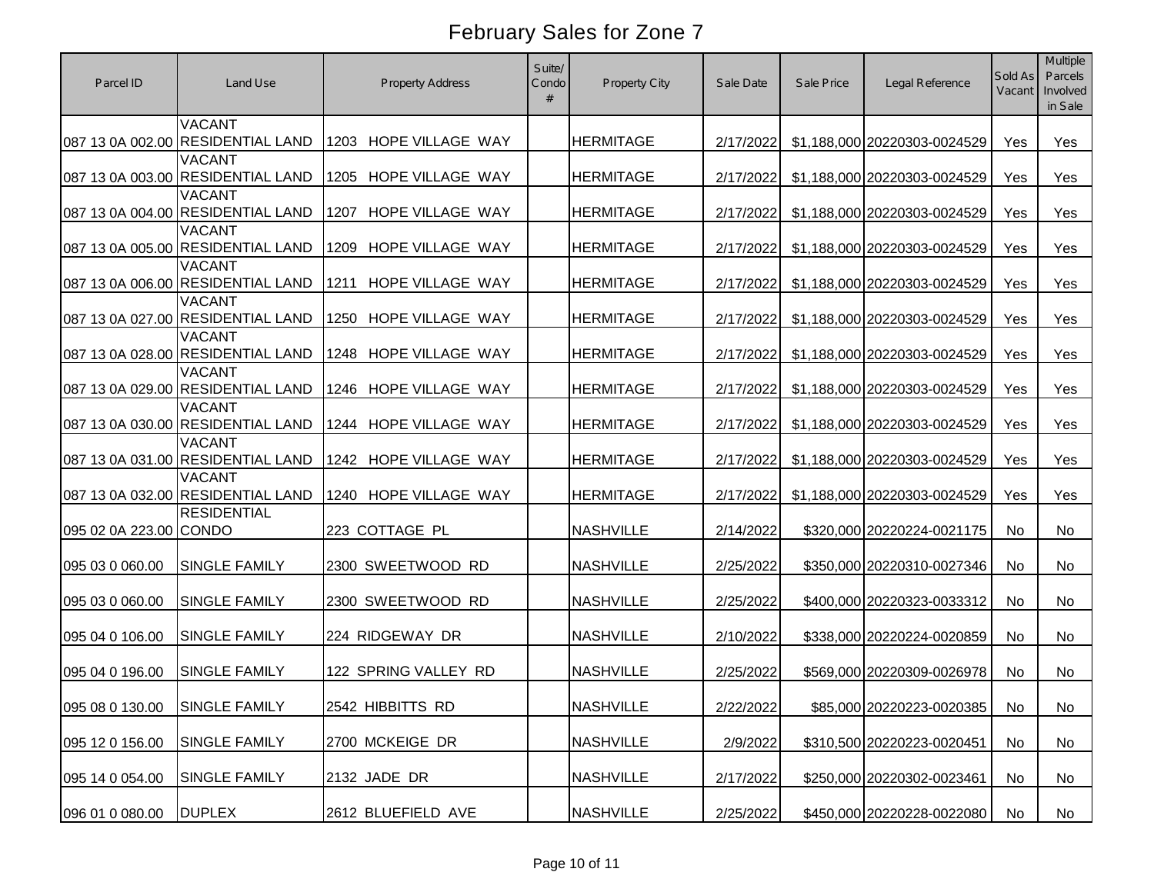| Parcel ID        | Land Use                                           | <b>Property Address</b>  | Suite/<br>Condo | Property City    | Sale Date | Sale Price | Legal Reference              | Sold As<br>Vacant | Multiple<br>Parcels<br>Involved<br>in Sale |
|------------------|----------------------------------------------------|--------------------------|-----------------|------------------|-----------|------------|------------------------------|-------------------|--------------------------------------------|
|                  | <b>VACANT</b><br>087 13 0A 002.00 RESIDENTIAL LAND | 1203 HOPE VILLAGE WAY    |                 | <b>HERMITAGE</b> | 2/17/2022 |            | \$1,188,000 20220303-0024529 | Yes               | Yes                                        |
|                  | <b>VACANT</b><br>087 13 0A 003.00 RESIDENTIAL LAND | HOPE VILLAGE WAY<br>1205 |                 | <b>HERMITAGE</b> | 2/17/2022 |            | \$1,188,000 20220303-0024529 | Yes               | Yes                                        |
|                  | <b>VACANT</b><br>087 13 0A 004.00 RESIDENTIAL LAND | HOPE VILLAGE WAY<br>1207 |                 | <b>HERMITAGE</b> | 2/17/2022 |            | \$1,188,000 20220303-0024529 | Yes               | Yes                                        |
|                  | <b>VACANT</b><br>087 13 0A 005.00 RESIDENTIAL LAND | HOPE VILLAGE WAY<br>1209 |                 | <b>HERMITAGE</b> | 2/17/2022 |            | \$1,188,000 20220303-0024529 | Yes               | Yes                                        |
|                  | <b>VACANT</b><br>087 13 0A 006.00 RESIDENTIAL LAND | HOPE VILLAGE WAY<br>1211 |                 | <b>HERMITAGE</b> | 2/17/2022 |            | \$1,188,000 20220303-0024529 | Yes               | Yes                                        |
|                  | <b>VACANT</b><br>087 13 0A 027.00 RESIDENTIAL LAND | 1250<br>HOPE VILLAGE WAY |                 | <b>HERMITAGE</b> | 2/17/2022 |            | \$1,188,000 20220303-0024529 | Yes               | Yes                                        |
|                  | <b>VACANT</b><br>087 13 0A 028.00 RESIDENTIAL LAND | 1248<br>HOPE VILLAGE WAY |                 | <b>HERMITAGE</b> | 2/17/2022 |            | \$1,188,000 20220303-0024529 | Yes               | Yes                                        |
|                  | <b>VACANT</b><br>087 13 0A 029.00 RESIDENTIAL LAND | HOPE VILLAGE WAY<br>1246 |                 | <b>HERMITAGE</b> | 2/17/2022 |            | \$1,188,000 20220303-0024529 | Yes               | Yes                                        |
|                  | VACANT<br>087 13 0A 030.00 RESIDENTIAL LAND        | HOPE VILLAGE WAY<br>1244 |                 | <b>HERMITAGE</b> | 2/17/2022 |            | \$1,188,000 20220303-0024529 | Yes               | Yes                                        |
|                  | <b>VACANT</b><br>087 13 0A 031.00 RESIDENTIAL LAND | 1242 HOPE VILLAGE WAY    |                 | <b>HERMITAGE</b> | 2/17/2022 |            | \$1,188,000 20220303-0024529 | Yes               | Yes                                        |
|                  | <b>VACANT</b><br>087 13 0A 032.00 RESIDENTIAL LAND | HOPE VILLAGE WAY<br>1240 |                 | <b>HERMITAGE</b> | 2/17/2022 |            | \$1,188,000 20220303-0024529 | Yes               | Yes                                        |
| 095 02 0A 223.00 | <b>RESIDENTIAL</b><br><b>CONDO</b>                 | 223 COTTAGE PL           |                 | <b>NASHVILLE</b> | 2/14/2022 |            | \$320,000 20220224-0021175   | No.               | <b>No</b>                                  |
| 095 03 0 060.00  | SINGLE FAMILY                                      | 2300 SWEETWOOD RD        |                 | <b>NASHVILLE</b> | 2/25/2022 |            | \$350,000 20220310-0027346   | No.               | <b>No</b>                                  |
| 095 03 0 060.00  | SINGLE FAMILY                                      | 2300 SWEETWOOD RD        |                 | <b>NASHVILLE</b> | 2/25/2022 |            | \$400,000 20220323-0033312   | <b>No</b>         | <b>No</b>                                  |
| 095 04 0 106.00  | <b>SINGLE FAMILY</b>                               | 224 RIDGEWAY DR          |                 | <b>NASHVILLE</b> | 2/10/2022 |            | \$338,000 20220224-0020859   | <b>No</b>         | <b>No</b>                                  |
| 095 04 0 196.00  | <b>SINGLE FAMILY</b>                               | 122 SPRING VALLEY RD     |                 | <b>NASHVILLE</b> | 2/25/2022 |            | \$569,000 20220309-0026978   | No                | No                                         |
| 095 08 0 130.00  | <b>SINGLE FAMILY</b>                               | 2542 HIBBITTS RD         |                 | <b>NASHVILLE</b> | 2/22/2022 |            | \$85,000 20220223-0020385    | No                | No                                         |
| 095 12 0 156.00  | SINGLE FAMILY                                      | 2700 MCKEIGE DR          |                 | <b>NASHVILLE</b> | 2/9/2022  |            | \$310,500 20220223-0020451   | No                | No                                         |
| 095 14 0 054.00  | SINGLE FAMILY                                      | 2132 JADE DR             |                 | <b>NASHVILLE</b> | 2/17/2022 |            | \$250,000 20220302-0023461   | No                | No                                         |
| 096 01 0 080.00  | <b>DUPLEX</b>                                      | 2612 BLUEFIELD AVE       |                 | <b>NASHVILLE</b> | 2/25/2022 |            | \$450,000 20220228-0022080   | No                | No                                         |